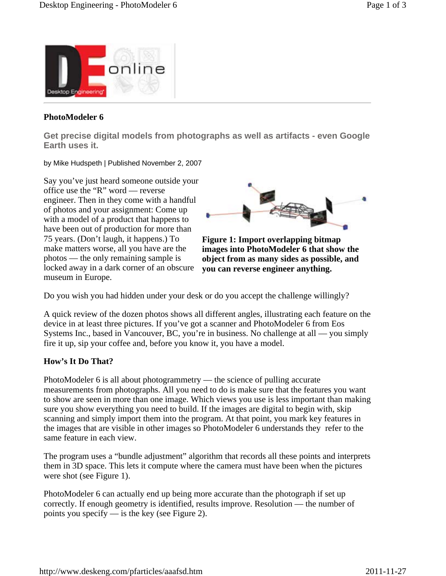

# **PhotoModeler 6**

**Get precise digital models from photographs as well as artifacts - even Google Earth uses it.**

by Mike Hudspeth | Published November 2, 2007

Say you've just heard someone outside your office use the "R" word — reverse engineer. Then in they come with a handful of photos and your assignment: Come up with a model of a product that happens to have been out of production for more than 75 years. (Don't laugh, it happens.) To make matters worse, all you have are the photos — the only remaining sample is locked away in a dark corner of an obscure museum in Europe.



**Figure 1: Import overlapping bitmap images into PhotoModeler 6 that show the object from as many sides as possible, and you can reverse engineer anything.**

Do you wish you had hidden under your desk or do you accept the challenge willingly?

A quick review of the dozen photos shows all different angles, illustrating each feature on the device in at least three pictures. If you've got a scanner and PhotoModeler 6 from Eos Systems Inc., based in Vancouver, BC, you're in business. No challenge at all — you simply fire it up, sip your coffee and, before you know it, you have a model.

# **How's It Do That?**

PhotoModeler 6 is all about photogrammetry — the science of pulling accurate measurements from photographs. All you need to do is make sure that the features you want to show are seen in more than one image. Which views you use is less important than making sure you show everything you need to build. If the images are digital to begin with, skip scanning and simply import them into the program. At that point, you mark key features in the images that are visible in other images so PhotoModeler 6 understands they refer to the same feature in each view.

The program uses a "bundle adjustment" algorithm that records all these points and interprets them in 3D space. This lets it compute where the camera must have been when the pictures were shot (see Figure 1).

PhotoModeler 6 can actually end up being more accurate than the photograph if set up correctly. If enough geometry is identified, results improve. Resolution — the number of points you specify — is the key (see Figure 2).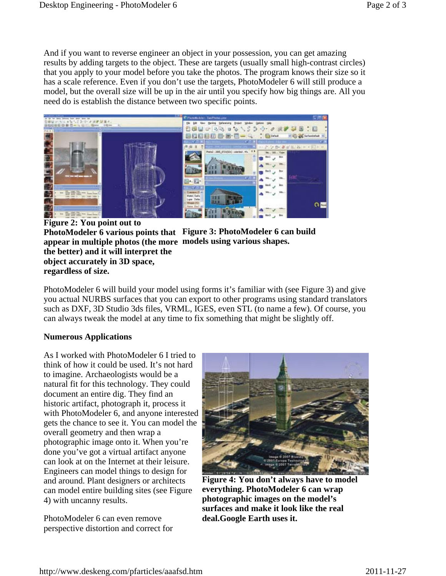And if you want to reverse engineer an object in your possession, you can get amazing results by adding targets to the object. These are targets (usually small high-contrast circles) that you apply to your model before you take the photos. The program knows their size so it has a scale reference. Even if you don't use the targets, PhotoModeler 6 will still produce a model, but the overall size will be up in the air until you specify how big things are. All you need do is establish the distance between two specific points.



**Figure 2: You point out to PhotoModeler 6 various points that Figure 3: PhotoModeler 6 can build appear in multiple photos (the more models using various shapes. the better) and it will interpret the object accurately in 3D space, regardless of size.**

PhotoModeler 6 will build your model using forms it's familiar with (see Figure 3) and give you actual NURBS surfaces that you can export to other programs using standard translators such as DXF, 3D Studio 3ds files, VRML, IGES, even STL (to name a few). Of course, you can always tweak the model at any time to fix something that might be slightly off.

# **Numerous Applications**

As I worked with PhotoModeler 6 I tried to think of how it could be used. It's not hard to imagine. Archaeologists would be a natural fit for this technology. They could document an entire dig. They find an historic artifact, photograph it, process it with PhotoModeler 6, and anyone interested gets the chance to see it. You can model the overall geometry and then wrap a photographic image onto it. When you're done you've got a virtual artifact anyone can look at on the Internet at their leisure. Engineers can model things to design for and around. Plant designers or architects can model entire building sites (see Figure 4) with uncanny results.

PhotoModeler 6 can even remove perspective distortion and correct for



**Figure 4: You don't always have to model everything. PhotoModeler 6 can wrap photographic images on the model's surfaces and make it look like the real deal.Google Earth uses it.**